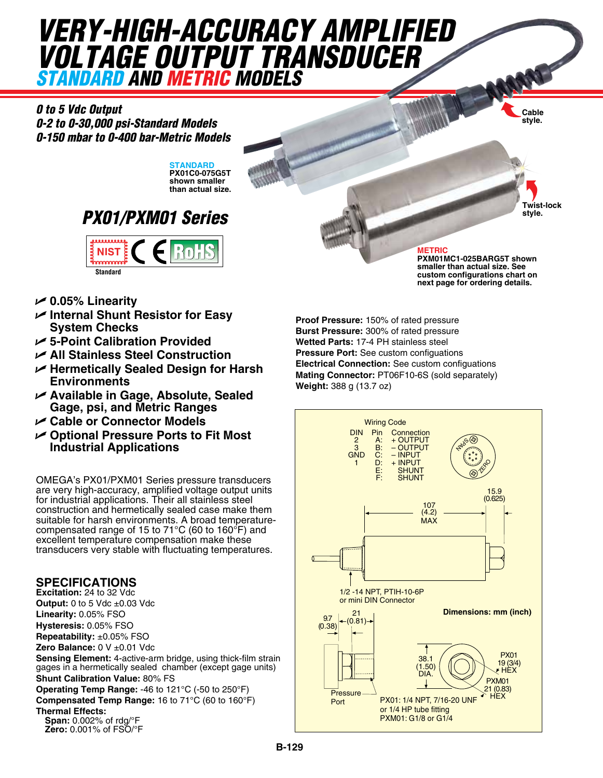# *very-HIGH-ACCURACY AMPLIFIED VOLTAGE OUTPUT TRANSDUCE STANDARD AND METRIC MODELS*

*0 to 5 Vdc Output 0-2 to 0-30,000 psi-Standard Models 0-150 mbar to 0-400 bar-Metric Models*

> **STANDARD PX01C0-075G5T shown smaller than actual size.**

## *PX01/PXM01 Series*



**Cable style.**

**Twist-lock style.**

#### **Metric**

**PXM01MC1-025BARG5T shown smaller than actual size. See custom configurations chart on next page for ordering details.**

- U **0.05% Linearity**
- U **Internal Shunt Resistor for Easy System Checks**
- U **5-Point Calibration Provided**
- U **All Stainless Steel Construction**
- U **Hermetically Sealed Design for Harsh Environments**
- U **Available in Gage, Absolute, Sealed Gage, psi, and Metric Ranges**
- U **Cable or Connector Models**
- U **Optional Pressure Ports to Fit Most Industrial Applications**

OMEGA's PX01/PXM01 Series pressure transducers are very high-accuracy, amplified voltage output units for industrial applications. Their all stainless steel construction and hermetically sealed case make them suitable for harsh environments. A broad temperaturecompensated range of 15 to 71°C (60 to 160°F) and excellent temperature compensation make these transducers very stable with fluctuating temperatures.

### **SPECIFICATIONS**

**Excitation:** 24 to 32 Vdc **Output:** 0 to 5 Vdc ±0.03 Vdc **Linearity:** 0.05% FSO **Hysteresis:** 0.05% FSO **Repeatability:** ±0.05% FSO

**Zero Balance:** 0 V ±0.01 Vdc

**Sensing Element:** 4-active-arm bridge, using thick-film strain gages in a hermetically sealed chamber (except gage units) **Shunt Calibration Value:** 80% FS

**Operating Temp Range:** -46 to 121°C (-50 to 250°F) **Compensated Temp Range:** 16 to 71°C (60 to 160°F) **Thermal Effects: Span:** 0.002% of rdg/°F

**Zero:** 0.001% of FSO/°F

**Proof Pressure:** 150% of rated pressure<br>**Brust Breasure: 2000/od-metric arrangement Burst Pressure:** 300% of rated pressure **Wetted Parts:** 17-4 PH stainless steel **Pressure Port:** See custom configuations **Electrical Connection:** See custom configuations **Mating Connector:** PT06F10-6S (sold separately) **Weight:** 388 g (13.7 oz)

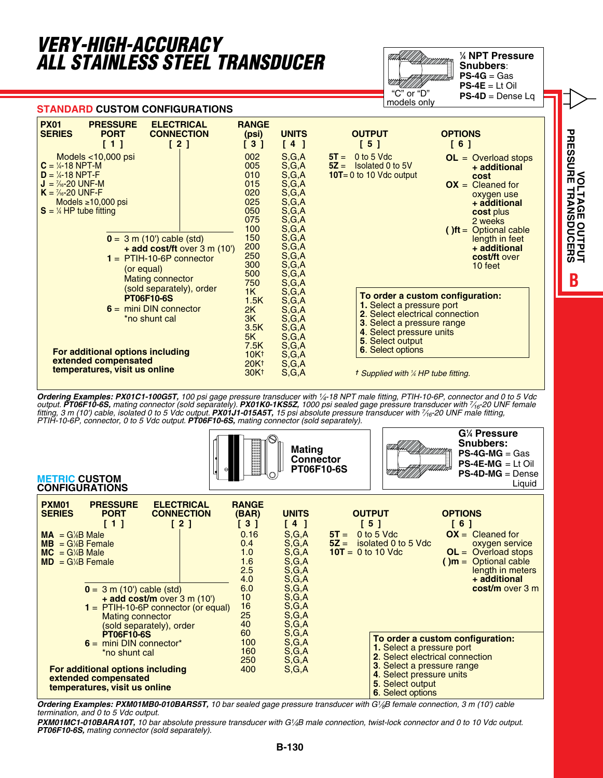## *very-HIGH-ACCURACY ALL STAINLESS STEEL TRANSDUCER*

**STANDARD CUSTOM CONFIGURATIONS**



**BVOLTAGE OUTPUT PRESSURE TRANSDUCERS**

**TUPULOUSE OUTAGE**<br>PRESSURE TRANSDUCERS

| <b>PX01</b><br><b>PRESSURE</b><br><b>ELECTRICAL</b><br><b>SERIES</b><br><b>CONNECTION</b><br><b>PORT</b><br>[2]<br>$[1]$                                                                                                                                                                                                                                                                                                                                                                                                                              | <b>RANGE</b><br>(psi)<br>[3]                                                                                                                                                                                                                                                                                                                                                                                                                       | <b>UNITS</b><br>[4] | <b>OUTPUT</b><br>[5]                                                                                                                                                                                                                               | <b>OPTIONS</b><br>[6]                                                                                                                                                                                                        |
|-------------------------------------------------------------------------------------------------------------------------------------------------------------------------------------------------------------------------------------------------------------------------------------------------------------------------------------------------------------------------------------------------------------------------------------------------------------------------------------------------------------------------------------------------------|----------------------------------------------------------------------------------------------------------------------------------------------------------------------------------------------------------------------------------------------------------------------------------------------------------------------------------------------------------------------------------------------------------------------------------------------------|---------------------|----------------------------------------------------------------------------------------------------------------------------------------------------------------------------------------------------------------------------------------------------|------------------------------------------------------------------------------------------------------------------------------------------------------------------------------------------------------------------------------|
| Models $<$ 10,000 psi<br>$C = \frac{1}{4} - 18$ NPT-M<br>$D = 4-18$ NPT-F<br>$J = \frac{7}{6} - 20$ UNF-M<br>$K = \frac{7}{6} - 20$ UNF-F<br>Models $\geq 10,000$ psi<br>$S = \frac{1}{4} H P$ tube fitting<br>$0 = 3$ m (10') cable (std)<br>$+$ add cost/ft over 3 m (10')<br>$1 =$ PTIH-10-6P connector<br>(or equal)<br><b>Mating connector</b><br>(sold separately), order<br><b>PT06F10-6S</b><br>$6 =$ mini DIN connector<br>*no shunt cal<br><b>For additional options including</b><br>extended compensated<br>temperatures, visit us online | S,G,A<br>002<br>005<br>S,G,A<br>S,G,A<br>010<br>S,G,A<br>015<br>S,G,A<br>020<br>S,G,A<br>025<br>S,G,A<br>050<br>075<br>S,G,A<br>S,G,A<br>100<br>150<br>S,G,A<br>S,G,A<br>200<br>250<br>S,G,A<br>S,G,A<br>300<br>S,G,A<br>500<br>750<br>S,G,A<br>1K<br>S,G,A<br>1.5K<br>S,G,A<br>2K<br>S,G,A<br>3K<br>S,G,A<br>3.5K<br>S,G,A<br>5K<br>S,G,A<br>7.5K<br>S,G,A<br>10K <sup>†</sup><br>S,G,A<br>20K <sup>t</sup><br>S,G,A<br>30K <sup>+</sup><br>S,G,A |                     | 0 to 5 Vdc<br>$5T =$<br>$5Z =$<br>Isolated 0 to 5V<br>$10T = 0$ to 10 Vdc output                                                                                                                                                                   | $OL = Overload stops$<br>+ additional<br>cost<br>$OX = Cleaned for$<br>oxygen use<br>+ additional<br>cost plus<br>2 weeks<br><b>Optional cable</b><br>$()$ ft =<br>length in feet<br>+ additional<br>cost/ft over<br>10 feet |
|                                                                                                                                                                                                                                                                                                                                                                                                                                                                                                                                                       |                                                                                                                                                                                                                                                                                                                                                                                                                                                    |                     | To order a custom configuration:<br>1. Select a pressure port<br>2. Select electrical connection<br>3. Select a pressure range<br>4. Select pressure units<br>5. Select output<br><b>6.</b> Select options<br>t Supplied with 1/4 HP tube fitting. |                                                                                                                                                                                                                              |

*Ordering Examples: PX01C1-100G5T, 100 psi gage pressure transducer with 1⁄4-18 NPT male fitting, PTIH-10-6P, connector and 0 to 5 Vdc output. PT06F10-6S, mating connector (sold separately). PX01K0-1KS5Z, 1000 psi sealed gage pressure transducer with 7⁄16-20 UNF female*  fitting, 3 m (10') cable, isolated 0 to 5 Vdc output. **PX01J1-015A5T,** 15 psi absolute pressure transducer with 7<sub>16</sub>-20 UNF male fitting,<br>PTIH-10-6P, connector, 0 to 5 Vdc output. **PT06F10-6S,** mating connector (sold sepa

| <b>METRIC CUSTOM</b><br><b>CONFIGURATIONS</b>                                                                                                                                                                                                                                                                                                                                               |                                                                                                        | <b>Mating</b><br><b>Connector</b><br><b>PT06F10-6S</b>                                                                                                                                                         | <b>G</b> <sup>1</sup> / <sub>4</sub> Pressure<br>Snubbers:<br>$PS-4G-MG = Gas$<br>$PS-4E-MG = Lt$ Oil<br>$PS-4D-MG = Dense$<br>Liquid                                                                        |
|---------------------------------------------------------------------------------------------------------------------------------------------------------------------------------------------------------------------------------------------------------------------------------------------------------------------------------------------------------------------------------------------|--------------------------------------------------------------------------------------------------------|----------------------------------------------------------------------------------------------------------------------------------------------------------------------------------------------------------------|--------------------------------------------------------------------------------------------------------------------------------------------------------------------------------------------------------------|
| <b>PXM01</b><br><b>PRESSURE</b><br><b>ELECTRICAL</b><br><b>SERIES</b><br><b>PORT</b><br><b>CONNECTION</b><br>[1]<br>[2]<br>$MA = G\%B$ Male<br>$MB = G\&B$ Female<br>$MC = G\frac{1}{4}B$ Male<br>$MD = G/4B$ Female<br>$0 = 3$ m (10') cable (std)<br>$+$ add cost/m over 3 m (10')<br>$1 = \text{PTIH-10-6P}$ connector (or equal)<br><b>Mating connector</b><br>(sold separately), order | <b>RANGE</b><br>(BAR)<br>[3]<br>0.16<br>0.4<br>1.0<br>1.6<br>2.5<br>4.0<br>6.0<br>10<br>16<br>25<br>40 | <b>UNITS</b><br><b>OUTPUT</b><br>[4]<br><b>[5]</b><br>S,G,A<br>0 to 5 Vdc<br>$5T =$<br>S,G,A<br>S,G,A<br>$10T = 0$ to 10 Vdc<br>S,G,A<br>$S, G, A$<br>$S, G, A$<br>S,G,A<br>S,G,A<br>S, G, A<br>S,G,A<br>S,G,A | <b>OPTIONS</b><br>[6]<br>$OX = Cleaned for$<br>$5Z =$ isolated 0 to 5 Vdc<br>oxygen service<br>$OL = Overload stops$<br>$(m = \text{Optional cable})$<br>length in meters<br>+ additional<br>cost/m over 3 m |
| <b>PT06F10-6S</b><br>$6 =$ mini DIN connector*<br>*no shunt cal<br>For additional options including<br>extended compensated<br>temperatures, visit us online                                                                                                                                                                                                                                | 60<br>100<br>160<br>250<br>400                                                                         | S,G,A<br>S,G,A<br>S,G,A<br>S,G,A<br>S,G,A                                                                                                                                                                      | To order a custom configuration:<br>1. Select a pressure port<br>2. Select electrical connection<br>3. Select a pressure range<br>4. Select pressure units<br>5. Select output<br>6. Select options          |

*Ordering Examples: PXM01MB0-010BARS5T, 10 bar sealed gage pressure transducer with G1⁄8B female connection, 3 m (10') cable termination, and 0 to 5 Vdc output.*

*PXM01MC1-010BARA10T, 10 bar absolute pressure transducer with G1⁄4B male connection, twist-lock connector and 0 to 10 Vdc output. PT06F10-6S, mating connector (sold separately).*